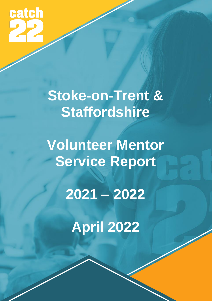catch

Classification : Official

# **Stoke-on-Trent & Staffordshire**

**Volunteer Mentor Service Report**

**2021 – 2022**

**April 2022**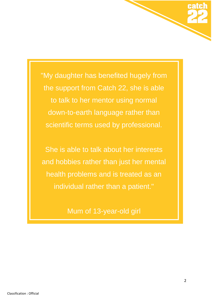"My daughter has benefited hugely from the support from Catch 22, she is able to talk to her mentor using normal down-to-earth language rather than scientific terms used by professional.

She is able to talk about her interests and hobbies rather than just her mental health problems and is treated as an individual rather than a patient."

Mum of 13-year-old girl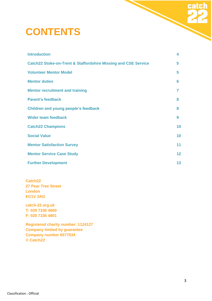

## **CONTENTS**

| <b>Introduction</b>                                                       | 4  |
|---------------------------------------------------------------------------|----|
| <b>Catch22 Stoke-on-Trent &amp; Staffordshire Missing and CSE Service</b> | 5  |
| <b>Volunteer Mentor Model</b>                                             | 5  |
| <b>Mentor duties</b>                                                      | 6  |
| <b>Mentor recruitment and training</b>                                    |    |
| <b>Parent's feedback</b>                                                  | 8  |
| <b>Children and young people's feedback</b>                               | 8  |
| <b>Wider team feedback</b>                                                | 9  |
| <b>Catch22 Champions</b>                                                  | 10 |
| <b>Social Value</b>                                                       | 10 |
| <b>Mentor Satisfaction Survey</b>                                         | 11 |
| <b>Mentor Service Case Study</b>                                          | 12 |
| <b>Further Development</b>                                                | 13 |

**Catch22 27 Pear Tree Street London EC1V 3AG**

**catch-22.org.uk T: 020 7336 4800 F: 020 7336 4801**

**Registered charity number: 1124127 Company limited by guarantee Company number 6577534 © Catch22**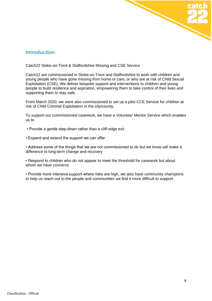

#### **Introduction**

Catch22 Stoke-on-Trent & Staffordshire Missing and CSE Service

Catch22 are commissioned in Stoke-on-Trent and Staffordshire to work with children and young people who have gone missing from home or care, or who are at risk of Child Sexual Exploitation (CSE). We deliver bespoke support and interventions to children and young people to build resilience and aspiration, empowering them to take control of their lives and supporting them to stay safe.

From March 2020, we were also commissioned to set up a pilot CCE Service for children at risk of Child Criminal Exploitation in the city/county.

To support our commissioned casework, we have a Volunteer Mentor Service which enables us to

- Provide a gentle step-down rather than a cliff-edge exit
- Expand and extend the support we can offer

• Address some of the things that we are not commissioned to do but we know will make a difference to long-term change and recovery

• Respond to children who do not appear to meet the threshold for casework but about whom we have concerns

• Provide more intensive support where risks are high, we also have community champions to help us reach out to the people and communities we find it more difficult to support.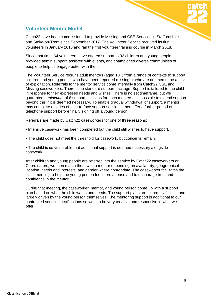## **Volunteer Mentor Model**

Catch22 have been commissioned to provide Missing and CSE Services in Staffordshire and Stoke-on-Trent since September 2017. The Volunteer Service recruited its first volunteers in January 2018 and ran the first volunteer training course in March 2018.

Since that time, 64 volunteers have offered support to 92 children and young people; provided admin support; assisted with events, and championed diverse communities of people to help us engage better with them.

The Volunteer Service recruits adult mentors (aged 18+) from a range of contexts to support children and young people who have been reported missing or who are deemed to be at risk of exploitation. Referrals to the mentor service come internally from Catch22 CSE and Missing caseworkers. There is no standard support package. Support is tailored to the child in response to their expressed needs and wishes. There is no set timeframe, but we guarantee a *minimum* of 6 support sessions for each mentee. It is possible to extend support beyond this if it is deemed necessary. To enable gradual withdrawal of support, a mentor may complete a series of face-to-face support sessions, then offer a further period of telephone support before finally signing off a young person.

Referrals are made by Catch22 caseworkers for one of three reasons:

- Intensive casework has been completed but the child still wishes to have support.
- The child does not meet the threshold for casework, but concerns remain.

• The child is so vulnerable that additional support is deemed necessary alongside casework.

After children and young people are referred into the service by Catch22 caseworkers or Coordinators, we then match them with a mentor depending on availability, geographical location, needs and interests, and gender where appropriate. The caseworker facilitates the initial meeting to help the young person feel more at ease and to encourage trust and confidence in the mentor.

During that meeting, the caseworker, mentor, and young person come up with a support plan based on what the child wants and needs. The support plans are extremely flexible and largely driven by the young person themselves. The mentoring support is additional to our contracted service specifications so we can be very creative and responsive in what we offer.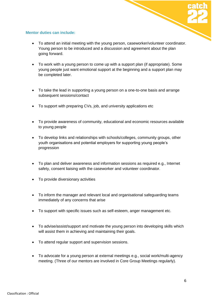#### **Mentor duties can include:**

- To attend an initial meeting with the young person, caseworker/volunteer coordinator. Young person to be introduced and a discussion and agreement about the plan going forward.
- To work with a young person to come up with a support plan (if appropriate). Some young people just want emotional support at the beginning and a support plan may be completed later.
- To take the lead in supporting a young person on a one-to-one basis and arrange subsequent sessions/contact
- To support with preparing CVs, job, and university applications etc
- To provide awareness of community, educational and economic resources available to young people
- To develop links and relationships with schools/colleges, community groups, other youth organisations and potential employers for supporting young people's progression
- To plan and deliver awareness and information sessions as required e.g., Internet safety, consent liaising with the caseworker and volunteer coordinator.
- To provide diversionary activities
- To inform the manager and relevant local and organisational safeguarding teams immediately of any concerns that arise
- To support with specific issues such as self-esteem, anger management etc.
- To advise/assist/support and motivate the young person into developing skills which will assist them in achieving and maintaining their goals.
- To attend regular support and supervision sessions.
- To advocate for a young person at external meetings e.g., social work/multi-agency meeting. (Three of our mentors are involved in Core Group Meetings regularly).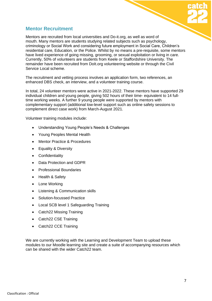## **Mentor Recruitment**

Mentors are recruited from local universities and Do-it.org, as well as word of mouth. Many mentors are students studying related subjects such as psychology, criminology or Social Work and considering future employment in Social Care, Children's residential care, Education, or the Police. Whilst by no means a pre-requisite, some mentors have lived experience of going missing, grooming, or sexual exploitation or living in care. Currently, 50% of volunteers are students from Keele or Staffordshire University. The remainder have been recruited from DoIt.org volunteering website or through the Civil Service Local scheme.

The recruitment and vetting process involves an application form, two references, an enhanced DBS check, an interview, and a volunteer training course.

In total, 24 volunteer mentors were active in 2021-2022. These mentors have supported 29 individual children and young people, giving 502 hours of their time- equivalent to 14 fulltime working weeks. A further 9 young people were supported by mentors with complementary support (additional low-level support such as online safety sessions to complement direct case work) from March-August 2021.

Volunteer training modules include:

- Understanding Young People's Needs & Challenges
- Young Peoples Mental Health
- Mentor Practice & Procedures
- Equality & Diversity
- Confidentiality
- Data Protection and GDPR
- Professional Boundaries
- Health & Safety
- Lone Working
- Listening & Communication skills
- Solution-focussed Practice
- Local SCB level 1 Safeguarding Training
- Catch22 Missing Training
- Catch22 CSE Training
- Catch22 CCE Training

We are currently working with the Learning and Development Team to upload these modules to our Moodle learning site and create a suite of accompanying resources which can be shared with the wider Catch22 team.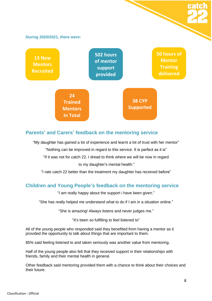

### **Parents' and Carers' feedback on the mentoring service**

"My daughter has gained a lot of experience and learnt a lot of trust with her mentor"

"Nothing can be improved in regard to this service. It is perfect as it is"

"If it was not for catch 22, I dread to think where we will be now in regard to my daughter's mental health."

"I rate catch 22 better than the treatment my daughter has received before"

## **Children and Young People's feedback on the mentoring service**

"I am really happy about the support i have been given."

"She has really helped me understand what to do if I am in a situation online."

"She is amazing! Always listens and never judges me."

"It's been so fulfilling to feel listened to"

All of the young people who responded said they benefited from having a mentor as it provided the opportunity to talk about things that are important to them.

85% said feeling listened to and taken seriously was another value from mentoring.

Half of the young people also felt that they received support in their relationships with friends, family and their mental health in general.

Other feedback said mentoring provided them with a chance to think about their choices and their future.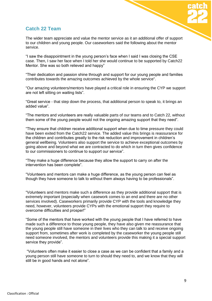## **Catch 22 Team**

The wider team appreciate and value the mentor service as it an additional offer of support to our children and young people. Our caseworkers said the following about the mentor service.

"I saw the disappointment in the young person's face when I said I was closing the CSE case. Then, I saw her face when I told her she would continue to be supported by Catch22 Mentor. She was so both relieved and happy"

"Their dedication and passion shine through and support for our young people and families contributes towards the amazing outcomes achieved by the whole service".

"Our amazing volunteers/mentors have played a critical role in ensuring the CYP we support are not left sitting on waiting lists".

"Great service - that step down the process, that additional person to speak to, it brings an added value".

"The mentors and volunteers are really valuable parts of our teams and to Catch 22, without them some of the young people would not the ongoing amazing support that they need".

"They ensure that children receive additional support when due to time pressure they could have been exited from the Catch22 service. The added value this brings is reassurance for the children and contributes greatly to the risk reduction and improvement in children's general wellbeing. Volunteers also support the service to achieve exceptional outcomes by going above and beyond what we are contracted to do which in turn then gives confidence to our commissioners to continue to support our service".

"They make a huge difference because they allow the support to carry on after the intervention has been complete".

"Volunteers and mentors can make a huge difference, as the young person can feel as though they have someone to talk to without them always having to be professionals".

"Volunteers and mentors make such a difference as they provide additional support that is extremely important (especially when casework comes to an end and there are no other services involved). Caseworkers primarily provide CYP with the tools and knowledge they need, however, volunteers provide CYPs with the emotional support they require to overcome difficulties and prosper!"

"Some of the mentors that have worked with the young people that I have referred to have made such a difference to those young people, they have also given me reassurance that the young people still have someone in their lives who they can talk to and receive ongoing support from, sometimes after work is completed by the caseworker the young people still need someone involved, the mentors and volunteers provide this making it a special support service they provide".

"Volunteers often make it easier to close a case as we can be confident that a family and a young person still have someone to turn to should they need to, and we know that they will still be in good hands and not alone".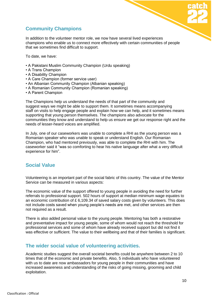## **Community Champions**

In addition to the volunteer mentor role, we now have several lived experiences champions who enable us to connect more effectively with certain communities of people that we sometimes find difficult to support.

To date, we have:

- A Pakistani Muslim Community Champion (Urdu speaking)
- A Trans Champion
- A Disability Champion
- A Care Champion (former service user)
- An Albanian Community Champion (Albanian speaking)
- A Romanian Community Champion (Romanian speaking)
- A Parent Champion

The Champions help us understand the needs of that part of the community and suggest ways we might be able to support them. It sometimes means accompanying staff on visits to help engage people and explain how we can help, and it sometimes means supporting that young person themselves. The champions also advocate for the communities they know and understand to help us ensure we get our response right and the needs of lesser-heard voices are amplified.

In July, one of our caseworkers was unable to complete a RHI as the young person was a Romanian speaker who was unable to speak or understand English. Our Romanian Champion, who had mentored previously, was able to complete the RHI with him. The caseworker said it "was so comforting to hear his native language after what a very difficult experience for him".

#### **Social Value**

Volunteering is an important part of the social fabric of this country. The value of the Mentor Service can be measured in various aspects:

The economic value of the support offered to young people in avoiding the need for further referrals to professional support. 502 hours of support at median minimum wage equates to an economic contribution of  $E$  6,109.34 of saved salary costs given by volunteers. This does not include costs saved when young people's needs are met, and other services are then not required as a result.

There is also added personal value to the young people. Mentoring has both a restorative and preventative impact for young people, some of whom would not reach the threshold for professional services and some of whom have already received support but did not find it was effective or sufficient. The value to their wellbeing and that of their families is significant.

#### **The wider social value of volunteering activities.**

Academic studies suggest the overall societal benefits could be anywhere between 2 to 10 times that of the economic and private benefits. Also, 5 individuals who have volunteered with us to date are now ambassadors for young people in their communities and have increased awareness and understanding of the risks of going missing, grooming and child exploitation.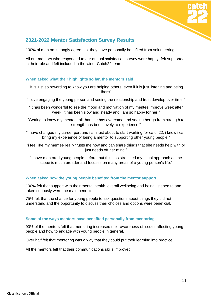

## **2021-2022 Mentor Satisfaction Survey Results**

100% of mentors strongly agree that they have personally benefited from volunteering.

All our mentors who responded to our annual satisfaction survey were happy, felt supported in their role and felt included in the wider Catch22 team.

#### **When asked what their highlights so far, the mentors said**

- "It is just so rewarding to know you are helping others, even if it is just listening and being there"
- "I love engaging the young person and seeing the relationship and trust develop over time."
- "It has been wonderful to see the mood and motivation of my mentee improve week after week; it has been slow and steady and i am so happy for her."
- "Getting to know my mentee, all that she has overcome and seeing her go from strength to strength has been lovely to experience."
- "i have changed my career part and i am just about to start working for catch22, i know i can bring my experience of being a mentor to supporting other young people."
- "i feel like my mentee really trusts me now and can share things that she needs help with or just needs off her mind."
	- "I have mentored young people before, but this has stretched my usual approach as the scope is much broader and focuses on many areas of a young person's life."

#### **When asked how the young people benefited from the mentor support**

100% felt that support with their mental health, overall wellbeing and being listened to and taken seriously were the main benefits.

75% felt that the chance for young people to ask questions about things they did not understand and the opportunity to discuss their choices and options were beneficial.

#### **Some of the ways mentors have benefited personally from mentoring**

90% of the mentors felt that mentoring increased their awareness of issues affecting young people and how to engage with young people in general.

Over half felt that mentoring was a way that they could put their learning into practice.

All the mentors felt that their communications skills improved.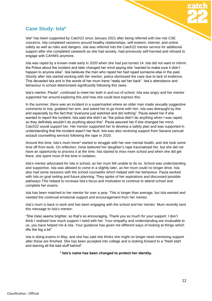## **Case Study- Isla\***

Isla\* has been supported by Catch22 since January 2021 after being referred with low risk CSE concerns. Isla completed sessions around healthy relationships, self-esteem, internet, and online safety as well as risks and dangers. Isla was referred into the Catch22 mentor service for additional support after she completed casework as she had anxiety, had previously self-harmed and refused to engage with CAHMS anymore.

Isla was raped by a known male early in 2020 when she had just turned 14. Isla did not want to inform the Police about the incident and later changed her mind saying she "wanted to make sure it didn't happen to anyone else". Isla believes the man who raped her had raped someone else in the past. Shortly after Isla started working with her mentor, police dismissed the case due to lack of evidence. This devasted Isla and in the words of her mum Irene "really set her back". Isla's attendance and behaviour in school deteriorated significantly following this news.

Isla's mentor, Paula\*, continued to meet her both in and out of school. Isla was angry and her mentor supported her around exploring this and how she could best express this.

In the summer, there was an incident in a supermarket where an older man made sexually suggestive comments to Isla, grabbed her arm, and asked her to go home with him. Isla was distraught by this and especially by the fact that "everyone just watched and did nothing". Paula asked her if she wanted to report the incident. Isla said she didn't as "the police didn't do anything when I was raped, so they definitely wouldn't do anything about this". Paula assured her if she changed her mind, Catch22 would support her. Her mentor supported her to develop a safety plan and was supported in understanding that the incident wasn't her fault. Isla was also receiving support from Savana (sexual assault counselling service) following the rape in 2020.

Around this time, Isla's mum Irene\* started to struggle with her own mental health, and she took some time off from work. On reflection, Irene believed her daughter's rape traumatised her, but she did not have an opportunity to process it at the time. Isla started to miss more school and when she did get there, she spent most of the time in isolation.

Isla's mentor advocated for Isla in school, as her mum felt unable to do so. School was understanding and supportive. Isla was allowed to come in a slightly later, as her mum could no longer drive. Isla also had some sessions with the school counsellor which helped with her behaviour. Paula worked with Isla on goal setting and future planning. They spoke of her aspirations and discussed possible pathways This helped to increase Isla's focus and motivation to continue to attend school and complete her exams.

Isla has been matched to her mentor for over a year. This is longer than average, but Isla wanted and needed the continual emotional support and encouragement from her mentor.

Isla's mum is back in work and has been engaging with the school and her mentor. Mum recently sent this message to Isla's mentor:

"She (Isla) seems brighter, so that's so encouraging. Thank you so much for your support. I don't think I realised how much support I need with her. Your empathy and understanding are invaluable to us, you have helped me & Isla. Your guidance has given me different ways of looking at things which lifts the fog a bit"

Isla is doing exams in May, and she has said she thinks she might no longer need mentoring support after these are finished. She has been accepted into college and is looking forward to a "fresh start and leaving all the bad stuff behind".

**\* Isla's name has been changed to protect her identity.**